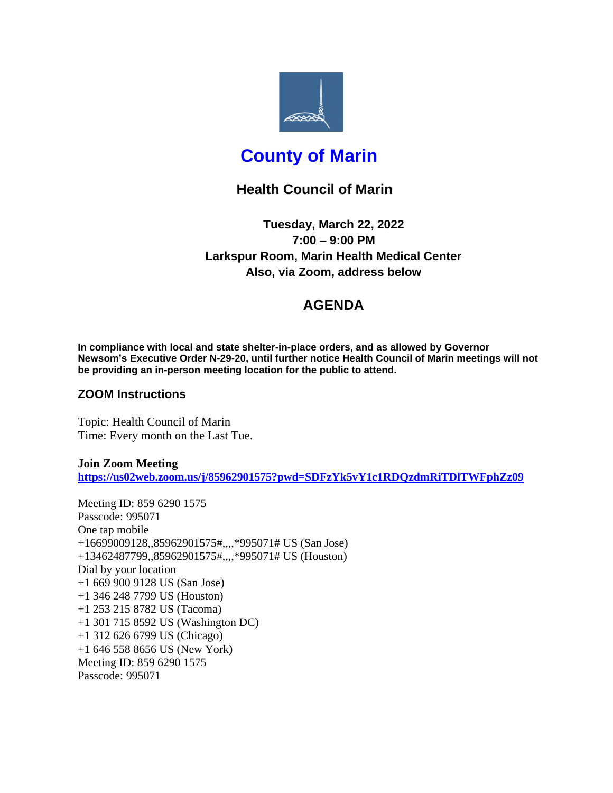

# **County of Marin**

# **Health Council of Marin**

**Tuesday, March 22, 2022 7:00 – 9:00 PM Larkspur Room, Marin Health Medical Center Also, via Zoom, address below**

# **AGENDA**

**In compliance with local and state shelter-in-place orders, and as allowed by Governor Newsom's Executive Order N-29-20, until further notice Health Council of Marin meetings will not be providing an in-person meeting location for the public to attend.**

### **ZOOM Instructions**

Topic: Health Council of Marin Time: Every month on the Last Tue.

**Join Zoom Meeting <https://us02web.zoom.us/j/85962901575?pwd=SDFzYk5vY1c1RDQzdmRiTDlTWFphZz09>**

Meeting ID: 859 6290 1575 Passcode: 995071 One tap mobile +16699009128,,85962901575#,,,,\*995071# US (San Jose) +13462487799,,85962901575#,,,,\*995071# US (Houston) Dial by your location +1 669 900 9128 US (San Jose) +1 346 248 7799 US (Houston) +1 253 215 8782 US (Tacoma) +1 301 715 8592 US (Washington DC) +1 312 626 6799 US (Chicago) +1 646 558 8656 US (New York) Meeting ID: 859 6290 1575 Passcode: 995071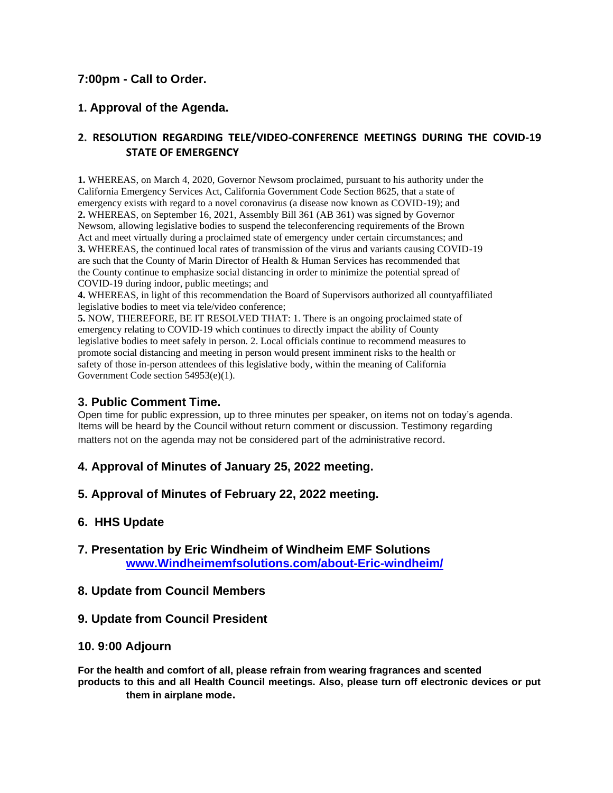### **7:00pm - Call to Order.**

## **1. Approval of the Agenda.**

### **2. RESOLUTION REGARDING TELE/VIDEO-CONFERENCE MEETINGS DURING THE COVID-19 STATE OF EMERGENCY**

**1.** WHEREAS, on March 4, 2020, Governor Newsom proclaimed, pursuant to his authority under the California Emergency Services Act, California Government Code Section 8625, that a state of emergency exists with regard to a novel coronavirus (a disease now known as COVID-19); and **2.** WHEREAS, on September 16, 2021, Assembly Bill 361 (AB 361) was signed by Governor Newsom, allowing legislative bodies to suspend the teleconferencing requirements of the Brown Act and meet virtually during a proclaimed state of emergency under certain circumstances; and **3.** WHEREAS, the continued local rates of transmission of the virus and variants causing COVID-19 are such that the County of Marin Director of Health & Human Services has recommended that the County continue to emphasize social distancing in order to minimize the potential spread of COVID-19 during indoor, public meetings; and

**4.** WHEREAS, in light of this recommendation the Board of Supervisors authorized all countyaffiliated legislative bodies to meet via tele/video conference;

**5.** NOW, THEREFORE, BE IT RESOLVED THAT: 1. There is an ongoing proclaimed state of emergency relating to COVID-19 which continues to directly impact the ability of County legislative bodies to meet safely in person. 2. Local officials continue to recommend measures to promote social distancing and meeting in person would present imminent risks to the health or safety of those in-person attendees of this legislative body, within the meaning of California Government Code section 54953(e)(1).

#### **3. Public Comment Time.**

Open time for public expression, up to three minutes per speaker, on items not on today's agenda. Items will be heard by the Council without return comment or discussion. Testimony regarding matters not on the agenda may not be considered part of the administrative record.

#### **4. Approval of Minutes of January 25, 2022 meeting.**

**5. Approval of Minutes of February 22, 2022 meeting.**

#### **6. HHS Update**

**7. Presentation by Eric Windheim of Windheim EMF Solutions [www.Windheimemfsolutions.com/about-Eric-windheim/](http://www.windheimemfsolutions.com/about-Eric-windheim/)**

#### **8. Update from Council Members**

**9. Update from Council President**

#### **10. 9:00 Adjourn**

**For the health and comfort of all, please refrain from wearing fragrances and scented products to this and all Health Council meetings. Also, please turn off electronic devices or put them in airplane mode.**